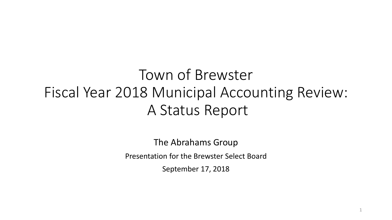Town of Brewster Fiscal Year 2018 Municipal Accounting Review: A Status Report

> The Abrahams Group Presentation for the Brewster Select Board

> > September 17, 2018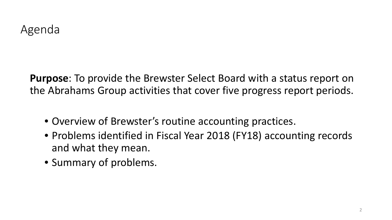**Purpose**: To provide the Brewster Select Board with a status report on the Abrahams Group activities that cover five progress report periods.

- Overview of Brewster's routine accounting practices.
- Problems identified in Fiscal Year 2018 (FY18) accounting records and what they mean.
- Summary of problems.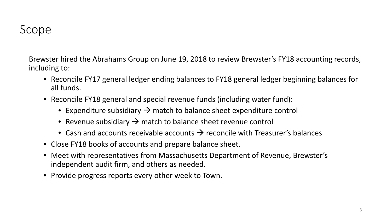### Scope

Brewster hired the Abrahams Group on June 19, 2018 to review Brewster's FY18 accounting records, including to:

- Reconcile FY17 general ledger ending balances to FY18 general ledger beginning balances for all funds.
- Reconcile FY18 general and special revenue funds (including water fund):
	- Expenditure subsidiary  $\rightarrow$  match to balance sheet expenditure control
	- Revenue subsidiary  $\rightarrow$  match to balance sheet revenue control
	- Cash and accounts receivable accounts  $\rightarrow$  reconcile with Treasurer's balances
- Close FY18 books of accounts and prepare balance sheet.
- Meet with representatives from Massachusetts Department of Revenue, Brewster's independent audit firm, and others as needed.
- Provide progress reports every other week to Town.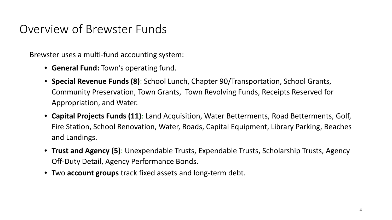### Overview of Brewster Funds

Brewster uses a multi-fund accounting system:

- **General Fund:** Town's operating fund.
- **Special Revenue Funds (8)**: School Lunch, Chapter 90/Transportation, School Grants, Community Preservation, Town Grants, Town Revolving Funds, Receipts Reserved for Appropriation, and Water.
- **Capital Projects Funds (11)**: Land Acquisition, Water Betterments, Road Betterments, Golf, Fire Station, School Renovation, Water, Roads, Capital Equipment, Library Parking, Beaches and Landings.
- **Trust and Agency (5)**: Unexpendable Trusts, Expendable Trusts, Scholarship Trusts, Agency Off-Duty Detail, Agency Performance Bonds.
- Two **account groups** track fixed assets and long-term debt.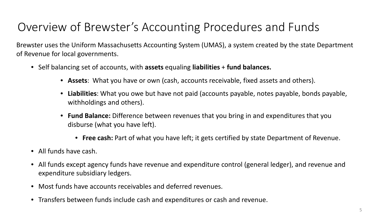# Overview of Brewster's Accounting Procedures and Funds

Brewster uses the Uniform Massachusetts Accounting System (UMAS), a system created by the state Department of Revenue for local governments.

- Self balancing set of accounts, with **assets** equaling **liabilities** + **fund balances.**
	- **Assets**: What you have or own (cash, accounts receivable, fixed assets and others).
	- **Liabilities**: What you owe but have not paid (accounts payable, notes payable, bonds payable, withholdings and others).
	- **Fund Balance:** Difference between revenues that you bring in and expenditures that you disburse (what you have left).
		- **Free cash:** Part of what you have left; it gets certified by state Department of Revenue.
- All funds have cash.
- All funds except agency funds have revenue and expenditure control (general ledger), and revenue and expenditure subsidiary ledgers.
- Most funds have accounts receivables and deferred revenues.
- Transfers between funds include cash and expenditures or cash and revenue.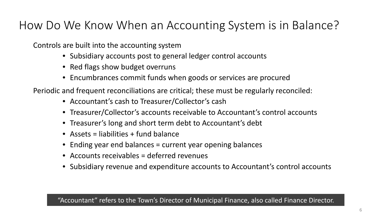### How Do We Know When an Accounting System is in Balance?

Controls are built into the accounting system

- Subsidiary accounts post to general ledger control accounts
- Red flags show budget overruns
- Encumbrances commit funds when goods or services are procured

Periodic and frequent reconciliations are critical; these must be regularly reconciled:

- Accountant's cash to Treasurer/Collector's cash
- Treasurer/Collector's accounts receivable to Accountant's control accounts
- Treasurer's long and short term debt to Accountant's debt
- Assets = liabilities + fund balance
- Ending year end balances = current year opening balances
- Accounts receivables = deferred revenues
- Subsidiary revenue and expenditure accounts to Accountant's control accounts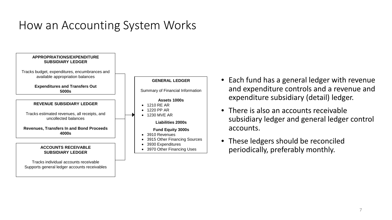### How an Accounting System Works



- Each fund has a general ledger with revenue and expenditure controls and a revenue and expenditure subsidiary (detail) ledger.
- There is also an accounts receivable subsidiary ledger and general ledger control accounts.
- These ledgers should be reconciled periodically, preferably monthly.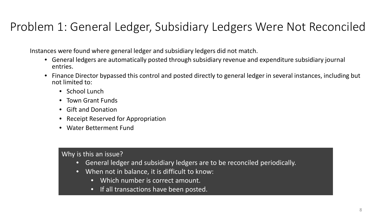### Problem 1: General Ledger, Subsidiary Ledgers Were Not Reconciled

Instances were found where general ledger and subsidiary ledgers did not match.

- General ledgers are automatically posted through subsidiary revenue and expenditure subsidiary journal entries.
- Finance Director bypassed this control and posted directly to general ledger in several instances, including but not limited to:
	- School Lunch
	- Town Grant Funds
	- Gift and Donation
	- Receipt Reserved for Appropriation
	- Water Betterment Fund

- General ledger and subsidiary ledgers are to be reconciled periodically.
- When not in balance, it is difficult to know:
	- Which number is correct amount.
	- If all transactions have been posted.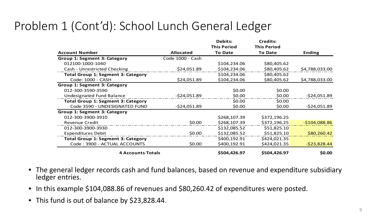# Problem 1 (Cont'd): School Lunch General Ledger

|                                           |                  | <b>Debits:</b>     | <b>Credits:</b>    |                |
|-------------------------------------------|------------------|--------------------|--------------------|----------------|
|                                           |                  | <b>This Period</b> | <b>This Period</b> |                |
| <b>Account Number</b>                     | <b>Allocated</b> | <b>To Date</b>     | <b>To Date</b>     | <b>Ending</b>  |
| <b>Group 1: Segment 3: Category</b>       | Code 1000 - Cash |                    |                    |                |
| 012100-1000-1040                          |                  | \$104,234.06       | \$80,405.62        |                |
| Cash - Unrestricted Checking              | \$24,051.89      | \$104,234.06       | \$80,405.62        | \$4,788,033.00 |
| <b>Total Group 1: Segment 3: Category</b> |                  | \$104,234.06       | \$80,405.62        |                |
| Code: 1000 - CASH                         | \$24,051.89      | \$104,234.06       | \$80,405.62        | \$4,788,033.00 |
| <b>Group 1: Segment 3: Category</b>       |                  |                    |                    |                |
| 012-300-3590-3590                         |                  | \$0.00             | \$0.00             |                |
| <b>Undesignated Fund Balance</b>          | $-524,051.89$    | \$0.00             | \$0.00             | $-524,051.89$  |
| <b>Total Group 1: Segment 3: Category</b> |                  | \$0.00             | \$0.00             |                |
| Code 3590 - UNDESIGNATED FUND             | $-524,051.89$    | \$0.00             | \$0.00             | $-524,051.89$  |
| Group 1: Segment 3: Category              |                  |                    |                    |                |
| 012-300-3900-3910                         |                  | \$268,107.39       | \$372,196.25       |                |
| <b>Revenue Credit</b>                     | \$0.00           | \$268,107.39       | \$372,196.25       | $-$104,088.86$ |
| 012-300-3900-3930                         |                  | \$132,085.52       | \$51,825.10        |                |
| <b>Expenditures Debit</b>                 | \$0.00           | \$132,085.52       | \$51,825.10        | \$80,260.42    |
| <b>Total Group 1: Segment 3: Category</b> |                  | \$400,192.91       | \$424,021.35       |                |
| Code: 3900 - ACTUAL ACCOUNTS              | \$0.00           | \$400,192.91       | \$424,021.35       | $-$23,828.44$  |
| <b>4 Accounts Totals</b>                  |                  | \$504,426.97       | \$504,426.97       | \$0.00         |

- The general ledger records cash and fund balances, based on revenue and expenditure subsidiary ledger entries.
- In this example \$104,088.86 of revenues and \$80,260.42 of expenditures were posted.
- This fund is out of balance by \$23,828.44.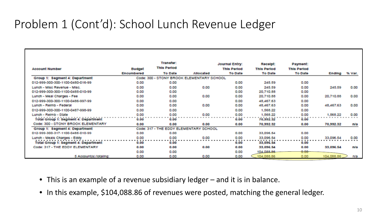### Problem 1 (Cont'd): School Lunch Revenue Ledger

|                                             |            | Transfer:          |                                           | <b>Journal Entry:</b> | <b>Receipt:</b>    | <b>Payment:</b>    |            |               |
|---------------------------------------------|------------|--------------------|-------------------------------------------|-----------------------|--------------------|--------------------|------------|---------------|
| <b>Account Number</b>                       | Budget     | <b>This Period</b> |                                           | <b>This Period</b>    | <b>This Period</b> | <b>This Period</b> |            |               |
|                                             | Encumbered | <b>To Date</b>     | Allocated                                 | <b>To Date</b>        | <b>To Date</b>     | <b>To Date</b>     |            | Ending % Var. |
| Group 1: Segment 4: Department              |            |                    | Code: 300 - STONY BROOK ELEMENTARY SCHOOL |                       |                    |                    |            |               |
| 012-999-300-300-1100-0480-016-99            | 0.00       | 0.00               |                                           | 0.00                  | 245.59             | 0.00               |            |               |
| Lunch - Misc Revenue - Misc.                | 0.00       | 0.00               | 0.00                                      | 0.00                  | 245.59             | 0.00               | 245.59     | 0.00          |
| 012-999-300-300-1100-0485-010-99            | 0.00       | 0.00               |                                           | 0.00                  | 20,710.88          | 0.00               |            |               |
| Lunch - Meal Charges - Fee                  | 0.00       | 0.00               | 0.00                                      | 0.00                  | 20,710.88          | 0.00               | 20,710.88  | 0.00          |
| 012-999-300-300-1100-0486-997-99            | 0.00       | 0.00               |                                           | 0.00                  | 48,467,63          | 0.00               |            |               |
| Lunch - Reimb - Federal                     | 0.00       | 0.00               | 0.00                                      | 0.00                  | 48,467.63          | 0.00               | 48,467.63  | 0.00          |
| 012-999-300-300-1100-0487-998-99            | 0.00       | 0.00               |                                           | 0.00                  | 1,568.22           | 0.00               |            |               |
| Lunch - Reimb - State                       | 0.00       | 0.00               | 0.00                                      | 0.00                  | 1,568.22           | 0.00               | 1,568.22   | 0.00          |
| Total Group 1: Segment 4: Department        | 0.00       | 0.00               |                                           | 0.00                  | 70,992.32          | 0.00               |            |               |
| Code: 300 - STONY BROOK ELEMENTARY          | 0.00       | 0.00               | 0.00                                      | 0.00                  | 70,332.32          | 0.00               | 70.992.32  | n/a           |
| Group 1: Segment 4: Department              |            |                    | Code: 317 - THE EDDY ELEMENTARY SCHOOL    |                       |                    |                    |            |               |
| 012-999-300-317-1100-0485-010-99            | 0.00       | 0.00               |                                           | 0.00                  | 33,096.54          | 0.00               |            |               |
| Lunch - Meals Charges - Eddy                | 0.00       | 0.00               | 0.00                                      | 0.00                  | 33.096.54          | 0.00               | 33,096.54  | 0.00          |
| <b>Total Group 1: Segment 4: Department</b> | 0.00       | 0.00               |                                           | 0.00                  | 33,096.54          | 0.00               |            |               |
| Code: 317 - THE EDDY ELEMENTARY             | 0.00       | 0.00               | 0.00                                      | 0.00                  | 33,096.54          | 0.00               | 33.096.54  | n/a           |
|                                             | 0.00       | 0.00               |                                           | 0.00                  | 104.088.86         | 0.00 <sub>1</sub>  |            |               |
| 5 Account(s) totaling:                      | 0.00       | 0.00               | 0.00                                      | 0.00                  | 104,088.86         | 0.00               | 104,088.86 | n/a           |

- This is an example of a revenue subsidiary ledger and it is in balance.
- In this example, \$104,088.86 of revenues were posted, matching the general ledger.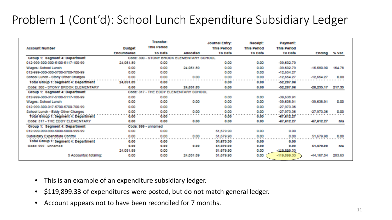# Problem 1 (Cont'd): School Lunch Expenditure Subsidiary Ledger

| <b>Account Number</b>                       | <b>Budget</b> | Transfer:<br><b>This Period</b> |                                           | <b>Journal Entry:</b><br><b>This Period</b> | Receipt:<br><b>This Period</b> | Payment:<br><b>This Period</b> |                |        |
|---------------------------------------------|---------------|---------------------------------|-------------------------------------------|---------------------------------------------|--------------------------------|--------------------------------|----------------|--------|
|                                             | Encumbered    | <b>To Date</b>                  | Allocated                                 | <b>To Date</b>                              | <b>To Date</b>                 | <b>To Date</b>                 | Ending % Var.  |        |
| Group 1: Segment 4: Department              |               |                                 | Code: 300 - STONY BROOK ELEMENTARY SCHOOL |                                             |                                |                                |                |        |
| 012-999-300-300-5100-5117-100-99            | 24,051.89     | 0.00                            |                                           | 0.00                                        | 0.00                           | $-39.632.79$                   |                |        |
| Wages: School Lunch                         | 0.00          | 0.00                            | 24.051.89                                 | 0.00                                        | 0.00                           | $-39.632.79$                   | $-15.580.90$   | 164.78 |
| 012-999-300-300-5700-5700-700-99            | 0.00          | 0.00                            |                                           | 0.00                                        | 0.00                           | $-12,654.27$                   |                |        |
| School Lunch - Stony Other Charges          | 0.00          | 0.00                            | 0.00                                      | 0.00                                        | 0.00                           | $-12.654.27$                   | $-12.654.27$   | 0.00   |
| <b>Total Group 1: Segment 4: Department</b> | 24,051.89     | 0.00                            |                                           | 0.00                                        | 0.00                           | $-52.287.06$                   |                |        |
| Code: 300 - STONY BROOK ELEMENTARY          | 0.00          | 0.00                            | 24.051.89                                 | 0.00                                        | 0.00                           | $-52.287.06$                   | $-28.235.17$   | 217.39 |
| Group 1: Segment 4: Department              |               |                                 | Code: 317 - THE EDDY ELEMENTARY SCHOOL    |                                             |                                |                                |                |        |
| 012-999-300-317-5100-5117-100-99            | 0.00          | 0.00                            |                                           | 0.00                                        | 0.00                           | $-39,638.91$                   |                |        |
| Wages: School Lunch                         | 0.00          | 0.00                            | 0.00                                      | 0.00                                        | 0.00                           | $-39.638.91$                   | $-39.638.91$   | 0.00   |
| 012-999-300-317-5700-5700-700-99            | 0.00          | 0.00                            |                                           | 0.00                                        | 0.00                           | $-27.973.36$                   |                |        |
| School Lunch - Eddy Other Charges           | 0.00          | 0.00                            | 0.00                                      | 0.00                                        | 0.00                           | $-27.973.36$                   | $-27.973.36$   | 0.00   |
| <b>Total Group 1: Segment 4: Department</b> | 0.00          | 0.00                            |                                           | 0.00                                        | 0.00                           | $-67.612.27$                   |                |        |
| Code: 317 - THE EDDY ELEMENTARY             | 0.00          | 0.00                            | 0.00                                      | 0.00                                        | 0.00                           | $-67,612.27$                   | $-67.612.27$   | n/a    |
| Group 1: Segment 4: Department              |               | Code: 999 - unnamed             |                                           |                                             |                                |                                |                |        |
| 012-999-999-999-5000-5000-999-99            | 0.00          | 0.00                            |                                           | 51.679.90                                   | 0.00                           | 0.00                           |                |        |
| Subisidary Expenditure Control              | 0.00          | 0.00                            | 0.00                                      | 51,679.90                                   | 0.00                           | 0.00                           | 51.679.90      | 0.00   |
| Total Group 1: Segment 4: Department        | 0.00          | 0.00                            |                                           | 51,679.90                                   | 0.00                           | 0.00                           |                |        |
| Code: 999 - unnamed                         | 0.00          | 0.00                            | 0.00                                      | 51,679.90                                   | 0.00                           | 0.00                           | 51,679.90      | n/a    |
|                                             | 24,051.89     | 0.00                            |                                           | 51,679.90                                   | 0.00                           | $-119.899.33$                  |                |        |
| 5 Account(s) totaling:                      | 0.00          | 0.00                            | 24.051.89                                 | 51,679.90                                   | 0.00                           | $-119,899.33$                  | $-44, 167, 54$ | 283.63 |

- This is an example of an expenditure subsidiary ledger.
- \$119,899.33 of expenditures were posted, but do not match general ledger.
- Account appears not to have been reconciled for 7 months.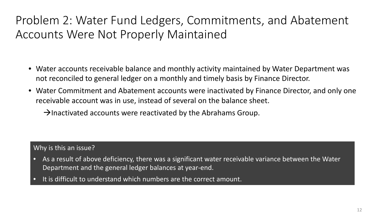### Problem 2: Water Fund Ledgers, Commitments, and Abatement Accounts Were Not Properly Maintained

- Water accounts receivable balance and monthly activity maintained by Water Department was not reconciled to general ledger on a monthly and timely basis by Finance Director.
- Water Commitment and Abatement accounts were inactivated by Finance Director, and only one receivable account was in use, instead of several on the balance sheet.
	- $\rightarrow$  Inactivated accounts were reactivated by the Abrahams Group.

- As a result of above deficiency, there was a significant water receivable variance between the Water Department and the general ledger balances at year-end.
- It is difficult to understand which numbers are the correct amount.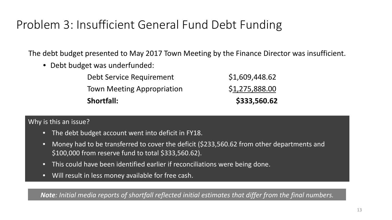### Problem 3: Insufficient General Fund Debt Funding

The debt budget presented to May 2017 Town Meeting by the Finance Director was insufficient.

• Debt budget was underfunded:

| <b>Shortfall:</b>                 | \$333,560.62   |
|-----------------------------------|----------------|
| <b>Town Meeting Appropriation</b> | \$1,275,888.00 |
| Debt Service Requirement          | \$1,609,448.62 |

#### Why is this an issue?

- $\bullet$  The debt budget account went into deficit in FV18  $\overline{\phantom{a}}$ • The debt budget account went into deficit in FY18.
- **Note**:  $$100,000$  from reserve fund to total \$333,560.62). • Money had to be transferred to cover the deficit (\$233,560.62 from other departments and
	- This could have been identified earlier if reconciliations were being done.
	- Will result in less money available for free cash.

*Note: Initial media reports of shortfall reflected initial estimates that differ from the final numbers.*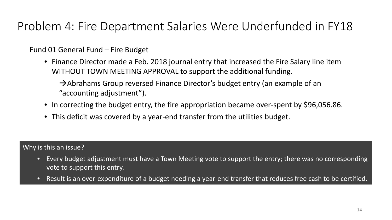### Problem 4: Fire Department Salaries Were Underfunded in FY18

Fund 01 General Fund – Fire Budget

• Finance Director made a Feb. 2018 journal entry that increased the Fire Salary line item WITHOUT TOWN MEETING APPROVAL to support the additional funding.

 $\rightarrow$  Abrahams Group reversed Finance Director's budget entry (an example of an "accounting adjustment").

- In correcting the budget entry, the fire appropriation became over-spent by \$96,056.86.
- This deficit was covered by a year-end transfer from the utilities budget.

- Every budget adjustment must have a Town Meeting vote to support the entry; there was no corresponding vote to support this entry.
- Result is an over-expenditure of a budget needing a year-end transfer that reduces free cash to be certified.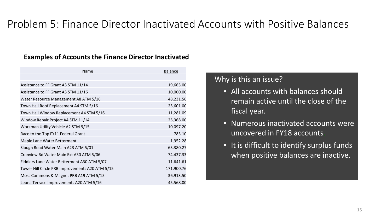### Problem 5: Finance Director Inactivated Accounts with Positive Balances

#### **Examples of Accounts the Finance Director Inactivated**

| <b>Name</b>                                     | <b>Balance</b> |  |
|-------------------------------------------------|----------------|--|
|                                                 |                |  |
| Assistance to FF Grant A3 STM 11/14             | 19,663.00      |  |
| Assistance to FF Grant A3 STM 11/16             | 10,000.00      |  |
| Water Resource Management A8 ATM 5/16           | 48,231.56      |  |
| Town Hall Roof Replacement A4 STM 5/16          | 25,601.00      |  |
| Town Hall Window Replacement A4 STM 5/16        | 11,281.09      |  |
| Window Repair Project A4 STM 11/14              | 25,368.00      |  |
| Workman Utility Vehicle A2 STM 9/15             | 10,097.20      |  |
| Race to the Top FY11 Federal Grant              | 783.10         |  |
| Maple Lane Water Betterment                     | 1,952.28       |  |
| Slough Road Water Main A23 ATM 5/01             | 63,380.27      |  |
| Cranview Rd Water Main Ext A30 ATM 5/06         | 74,437.33      |  |
| Fiddlers Lane Water Betterment A30 ATM 5/07     | 11,641.61      |  |
| Tower Hill Circle PRB Improvements A20 ATM 5/15 | 171,900.76     |  |
| Moss Commons & Magnet PRB A19 ATM 5/15          | 36,913.50      |  |
| Leona Terrace Improvements A20 ATM 5/16         | 45,568.00      |  |

- All accounts with balances should remain active until the close of the fiscal year.
- Numerous inactivated accounts were uncovered in FY18 accounts.
- It is difficult to identify surplus funds when positive balances are inactive.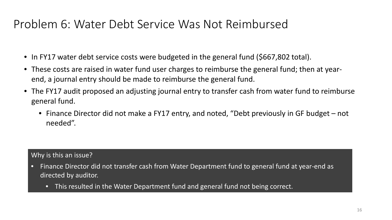### Problem 6: Water Debt Service Was Not Reimbursed

- In FY17 water debt service costs were budgeted in the general fund (\$667,802 total).
- These costs are raised in water fund user charges to reimburse the general fund; then at yearend, a journal entry should be made to reimburse the general fund.
- The FY17 audit proposed an adjusting journal entry to transfer cash from water fund to reimburse general fund.
	- Finance Director did not make a FY17 entry, and noted, "Debt previously in GF budget not needed".

- Finance Director did not transfer cash from Water Department fund to general fund at year-end as directed by auditor.
	- This resulted in the Water Department fund and general fund not being correct.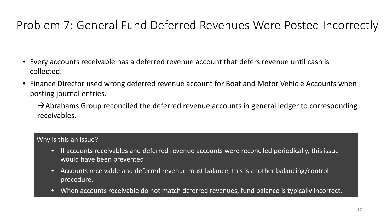### Problem 7: General Fund Deferred Revenues Were Posted Incorrectly

- Every accounts receivable has a deferred revenue account that defers revenue until cash is collected.
- Finance Director used wrong deferred revenue account for Boat and Motor Vehicle Accounts when posting journal entries.

 $\rightarrow$  Abrahams Group reconciled the deferred revenue accounts in general ledger to corresponding receivables.

- If accounts receivables and deferred revenue accounts were reconciled periodically, this issue would have been prevented.
- Accounts receivable and deferred revenue must balance, this is another balancing/control procedure.
- When accounts receivable do not match deferred revenues, fund balance is typically incorrect.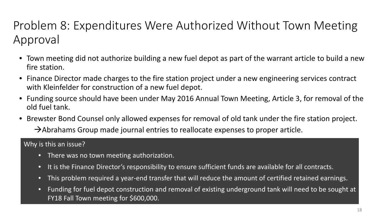# Problem 8: Expenditures Were Authorized Without Town Meeting Approval

- Town meeting did not authorize building a new fuel depot as part of the warrant article to build a new fire station.
- Finance Director made charges to the fire station project under a new engineering services contract with Kleinfelder for construction of a new fuel depot.
- Funding source should have been under May 2016 Annual Town Meeting, Article 3, for removal of the old fuel tank.
- Brewster Bond Counsel only allowed expenses for removal of old tank under the fire station project.  $\rightarrow$  Abrahams Group made journal entries to reallocate expenses to proper article.

- There was no town meeting authorization.
- It is the Finance Director's responsibility to ensure sufficient funds are available for all contracts.
- This problem required a year-end transfer that will reduce the amount of certified retained earnings.
- Funding for fuel depot construction and removal of existing underground tank will need to be sought at FY18 Fall Town meeting for \$600,000.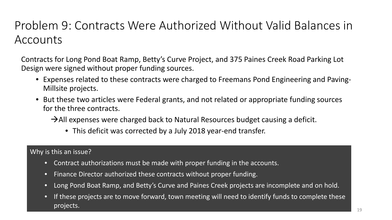### Problem 9: Contracts Were Authorized Without Valid Balances in Accounts

Contracts for Long Pond Boat Ramp, Betty's Curve Project, and 375 Paines Creek Road Parking Lot Design were signed without proper funding sources.

- Expenses related to these contracts were charged to Freemans Pond Engineering and Paving-Millsite projects.
- But these two articles were Federal grants, and not related or appropriate funding sources for the three contracts.

 $\rightarrow$  All expenses were charged back to Natural Resources budget causing a deficit.

• This deficit was corrected by a July 2018 year-end transfer.

- Contract authorizations must be made with proper funding in the accounts.
- Finance Director authorized these contracts without proper funding.
- Long Pond Boat Ramp, and Betty's Curve and Paines Creek projects are incomplete and on hold.
- If these projects are to move forward, town meeting will need to identify funds to complete these projects.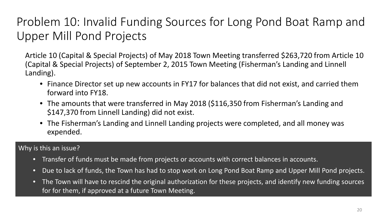# Problem 10: Invalid Funding Sources for Long Pond Boat Ramp and Upper Mill Pond Projects

Article 10 (Capital & Special Projects) of May 2018 Town Meeting transferred \$263,720 from Article 10 (Capital & Special Projects) of September 2, 2015 Town Meeting (Fisherman's Landing and Linnell Landing).

- Finance Director set up new accounts in FY17 for balances that did not exist, and carried them forward into FY18.
- The amounts that were transferred in May 2018 (\$116,350 from Fisherman's Landing and \$147,370 from Linnell Landing) did not exist.
- The Fisherman's Landing and Linnell Landing projects were completed, and all money was expended.

- Transfer of funds must be made from projects or accounts with correct balances in accounts.
- Due to lack of funds, the Town has had to stop work on Long Pond Boat Ramp and Upper Mill Pond projects.
- The Town will have to rescind the original authorization for these projects, and identify new funding sources for for them, if approved at a future Town Meeting.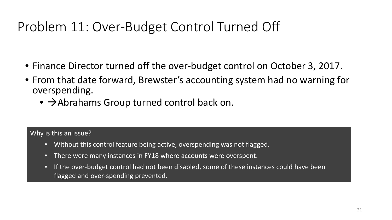# Problem 11: Over-Budget Control Turned Off

- Finance Director turned off the over-budget control on October 3, 2017.
- From that date forward, Brewster's accounting system had no warning for overspending.
	- $\bullet \rightarrow$  Abrahams Group turned control back on.

- Without this control feature being active, overspending was not flagged.
- There were many instances in FY18 where accounts were overspent.
- If the over-budget control had not been disabled, some of these instances could have been flagged and over-spending prevented.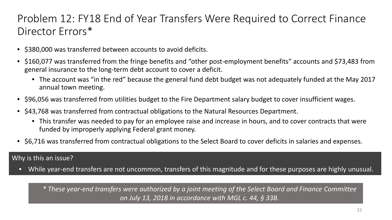### Problem 12: FY18 End of Year Transfers Were Required to Correct Finance Director Errors\*

- \$380,000 was transferred between accounts to avoid deficits.
- \$160,077 was transferred from the fringe benefits and "other post-employment benefits" accounts and \$73,483 from general insurance to the long-term debt account to cover a deficit.
	- The account was "in the red" because the general fund debt budget was not adequately funded at the May 2017 annual town meeting.
- \$96,056 was transferred from utilities budget to the Fire Department salary budget to cover insufficient wages.
- \$43,768 was transferred from contractual obligations to the Natural Resources Department.
	- This transfer was needed to pay for an employee raise and increase in hours, and to cover contracts that were funded by improperly applying Federal grant money.
- \$6,716 was transferred from contractual obligations to the Select Board to cover deficits in salaries and expenses.

#### Why is this an issue?

• While year-end transfers are not uncommon, transfers of this magnitude and for these purposes are highly unusual.

*\* These year-end transfers were authorized by a joint meeting of the Select Board and Finance Committee on July 13, 2018 in accordance with MGL c. 44, § 33B.*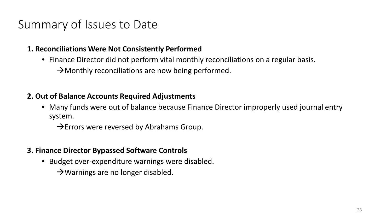### Summary of Issues to Date

#### **1. Reconciliations Were Not Consistently Performed**

- Finance Director did not perform vital monthly reconciliations on a regular basis.
	- $\rightarrow$  Monthly reconciliations are now being performed.

### **2. Out of Balance Accounts Required Adjustments**

• Many funds were out of balance because Finance Director improperly used journal entry system.

 $\rightarrow$  Errors were reversed by Abrahams Group.

### **3. Finance Director Bypassed Software Controls**

• Budget over-expenditure warnings were disabled.

 $\rightarrow$  Warnings are no longer disabled.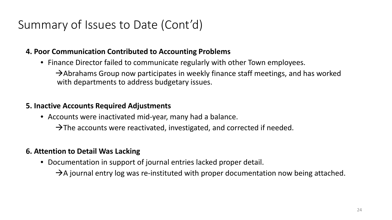### Summary of Issues to Date (Cont'd)

### **4. Poor Communication Contributed to Accounting Problems**

• Finance Director failed to communicate regularly with other Town employees.

 $\rightarrow$  Abrahams Group now participates in weekly finance staff meetings, and has worked with departments to address budgetary issues.

### **5. Inactive Accounts Required Adjustments**

- Accounts were inactivated mid-year, many had a balance.
	- $\rightarrow$  The accounts were reactivated, investigated, and corrected if needed.

### **6. Attention to Detail Was Lacking**

• Documentation in support of journal entries lacked proper detail.

 $\rightarrow$  A journal entry log was re-instituted with proper documentation now being attached.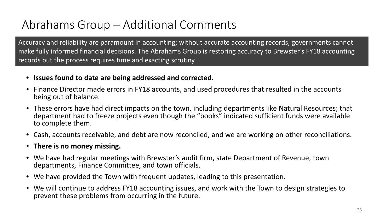### Abrahams Group – Additional Comments

Accuracy and reliability are paramount in accounting; without accurate accounting records, governments cannot make fully informed financial decisions. The Abrahams Group is restoring accuracy to Brewster's FY18 accounting records but the process requires time and exacting scrutiny.

- **Issues found to date are being addressed and corrected.**
- Finance Director made errors in FY18 accounts, and used procedures that resulted in the accounts being out of balance.
- These errors have had direct impacts on the town, including departments like Natural Resources; that department had to freeze projects even though the "books" indicated sufficient funds were available to complete them.
- Cash, accounts receivable, and debt are now reconciled, and we are working on other reconciliations.
- **There is no money missing.**
- We have had regular meetings with Brewster's audit firm, state Department of Revenue, town departments, Finance Committee, and town officials.
- We have provided the Town with frequent updates, leading to this presentation.
- We will continue to address FY18 accounting issues, and work with the Town to design strategies to prevent these problems from occurring in the future.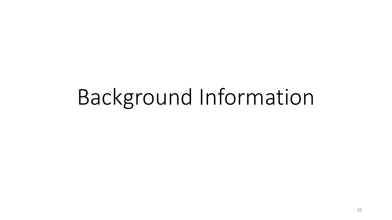# Background Information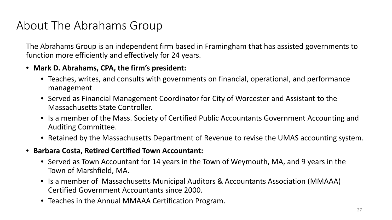### About The Abrahams Group

The Abrahams Group is an independent firm based in Framingham that has assisted governments to function more efficiently and effectively for 24 years.

### • **Mark D. Abrahams, CPA, the firm's president:**

- Teaches, writes, and consults with governments on financial, operational, and performance management
- Served as Financial Management Coordinator for City of Worcester and Assistant to the Massachusetts State Controller.
- Is a member of the Mass. Society of Certified Public Accountants Government Accounting and Auditing Committee.
- Retained by the Massachusetts Department of Revenue to revise the UMAS accounting system.
- **Barbara Costa, Retired Certified Town Accountant:**
	- Served as Town Accountant for 14 years in the Town of Weymouth, MA, and 9 years in the Town of Marshfield, MA.
	- Is a member of Massachusetts Municipal Auditors & Accountants Association (MMAAA) Certified Government Accountants since 2000.
	- Teaches in the Annual MMAAA Certification Program.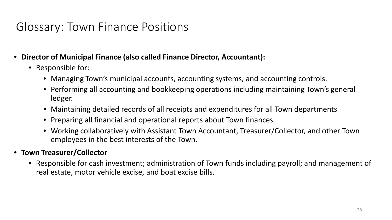### Glossary: Town Finance Positions

- **Director of Municipal Finance (also called Finance Director, Accountant):**
	- Responsible for:
		- Managing Town's municipal accounts, accounting systems, and accounting controls.
		- Performing all accounting and bookkeeping operations including maintaining Town's general ledger.
		- Maintaining detailed records of all receipts and expenditures for all Town departments
		- Preparing all financial and operational reports about Town finances.
		- Working collaboratively with Assistant Town Accountant, Treasurer/Collector, and other Town employees in the best interests of the Town.

### • **Town Treasurer/Collector**

• Responsible for cash investment; administration of Town funds including payroll; and management of real estate, motor vehicle excise, and boat excise bills.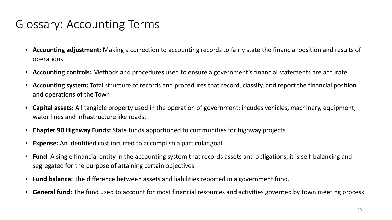### Glossary: Accounting Terms

- **Accounting adjustment:** Making a correction to accounting records to fairly state the financial position and results of operations.
- **Accounting controls:** Methods and procedures used to ensure a government's financial statements are accurate.
- **Accounting system:** Total structure of records and procedures that record, classify, and report the financial position and operations of the Town.
- **Capital assets:** All tangible property used in the operation of government; incudes vehicles, machinery, equipment, water lines and infrastructure like roads.
- **Chapter 90 Highway Funds:** State funds apportioned to communities for highway projects.
- **Expense:** An identified cost incurred to accomplish a particular goal.
- **Fund**: A single financial entity in the accounting system that records assets and obligations; it is self-balancing and segregated for the purpose of attaining certain objectives.
- **Fund balance:** The difference between assets and liabilities reported in a government fund.
- **General fund:** The fund used to account for most financial resources and activities governed by town meeting process